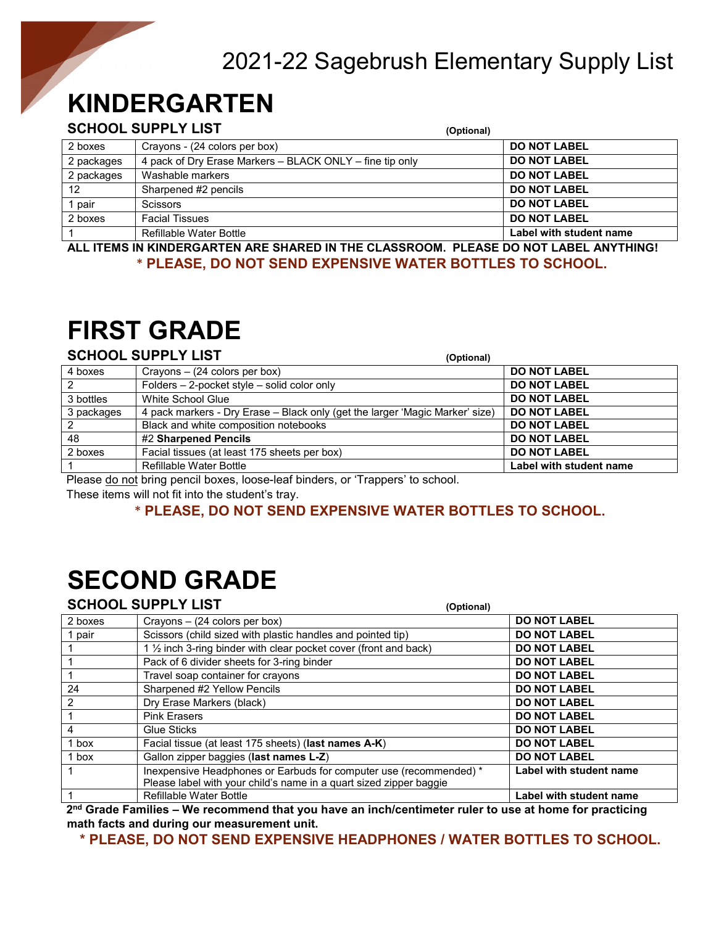## 2021-22 Sagebrush Elementary Supply List

## **KINDERGARTEN**

#### **SCHOOL SUPPLY LIST (Optional)**

|            |                                                          | (Optional)              |
|------------|----------------------------------------------------------|-------------------------|
| 2 boxes    | Crayons - (24 colors per box)                            | <b>DO NOT LABEL</b>     |
| 2 packages | 4 pack of Dry Erase Markers – BLACK ONLY – fine tip only | <b>DO NOT LABEL</b>     |
| 2 packages | Washable markers                                         | <b>DO NOT LABEL</b>     |
| 12         | Sharpened #2 pencils                                     | <b>DO NOT LABEL</b>     |
| pair       | <b>Scissors</b>                                          | <b>DO NOT LABEL</b>     |
| 2 boxes    | <b>Facial Tissues</b>                                    | <b>DO NOT LABEL</b>     |
|            | <b>Refillable Water Bottle</b>                           | Label with student name |

**ALL ITEMS IN KINDERGARTEN ARE SHARED IN THE CLASSROOM. PLEASE DO NOT LABEL ANYTHING!** \* **PLEASE, DO NOT SEND EXPENSIVE WATER BOTTLES TO SCHOOL.**

## **FIRST GRADE**

#### **SCHOOL SUPPLY LIST (Optional)**

|                | (Vpuvilui)                                                                                                                                                                                                                                          |                         |
|----------------|-----------------------------------------------------------------------------------------------------------------------------------------------------------------------------------------------------------------------------------------------------|-------------------------|
| 4 boxes        | Crayons $-$ (24 colors per box)                                                                                                                                                                                                                     | <b>DO NOT LABEL</b>     |
| $\overline{2}$ | Folders - 2-pocket style - solid color only                                                                                                                                                                                                         | <b>DO NOT LABEL</b>     |
| 3 bottles      | White School Glue                                                                                                                                                                                                                                   | <b>DO NOT LABEL</b>     |
| 3 packages     | 4 pack markers - Dry Erase – Black only (get the larger 'Magic Marker' size)                                                                                                                                                                        | <b>DO NOT LABEL</b>     |
| 2              | Black and white composition notebooks                                                                                                                                                                                                               | <b>DO NOT LABEL</b>     |
| 48             | #2 Sharpened Pencils                                                                                                                                                                                                                                | <b>DO NOT LABEL</b>     |
| 2 boxes        | Facial tissues (at least 175 sheets per box)                                                                                                                                                                                                        | <b>DO NOT LABEL</b>     |
|                | Refillable Water Bottle                                                                                                                                                                                                                             | Label with student name |
| $\sim$         | $\sim$ . The contract of the contract of the contract of the contract of the contract of the contract of the contract of the contract of the contract of the contract of the contract of the contract of the contract of the co<br>.<br>$\sim$<br>. |                         |

Please do not bring pencil boxes, loose-leaf binders, or 'Trappers' to school.

These items will not fit into the student's tray.

#### \* **PLEASE, DO NOT SEND EXPENSIVE WATER BOTTLES TO SCHOOL.**

# **SECOND GRADE**

|                                                                                                                                 | <b>SCHOOL SUPPLY LIST</b>                                          | (Optional)              |
|---------------------------------------------------------------------------------------------------------------------------------|--------------------------------------------------------------------|-------------------------|
| 2 boxes                                                                                                                         | Crayons $-$ (24 colors per box)                                    | <b>DO NOT LABEL</b>     |
| 1 pair                                                                                                                          | Scissors (child sized with plastic handles and pointed tip)        | <b>DO NOT LABEL</b>     |
|                                                                                                                                 | 1 1/2 inch 3-ring binder with clear pocket cover (front and back)  | <b>DO NOT LABEL</b>     |
|                                                                                                                                 | Pack of 6 divider sheets for 3-ring binder                         | <b>DO NOT LABEL</b>     |
|                                                                                                                                 | Travel soap container for crayons                                  | <b>DO NOT LABEL</b>     |
| 24                                                                                                                              | Sharpened #2 Yellow Pencils                                        | <b>DO NOT LABEL</b>     |
| $\overline{2}$                                                                                                                  | Dry Erase Markers (black)                                          | <b>DO NOT LABEL</b>     |
|                                                                                                                                 | <b>Pink Erasers</b>                                                | <b>DO NOT LABEL</b>     |
| $\overline{4}$                                                                                                                  | <b>Glue Sticks</b>                                                 | <b>DO NOT LABEL</b>     |
| 1 box                                                                                                                           | Facial tissue (at least 175 sheets) (last names A-K)               | <b>DO NOT LABEL</b>     |
| 1 box                                                                                                                           | Gallon zipper baggies (last names L-Z)                             | <b>DO NOT LABEL</b>     |
|                                                                                                                                 | Inexpensive Headphones or Earbuds for computer use (recommended) * | Label with student name |
|                                                                                                                                 | Please label with your child's name in a quart sized zipper baggie |                         |
|                                                                                                                                 | <b>Refillable Water Bottle</b>                                     | Label with student name |
| and $\bigcap_{i=1}^n$ . The second contract that is a second contract that is a second of the second form of the second that is |                                                                    |                         |

**2nd Grade Families – We recommend that you have an inch/centimeter ruler to use at home for practicing math facts and during our measurement unit.** 

**\* PLEASE, DO NOT SEND EXPENSIVE HEADPHONES / WATER BOTTLES TO SCHOOL.**